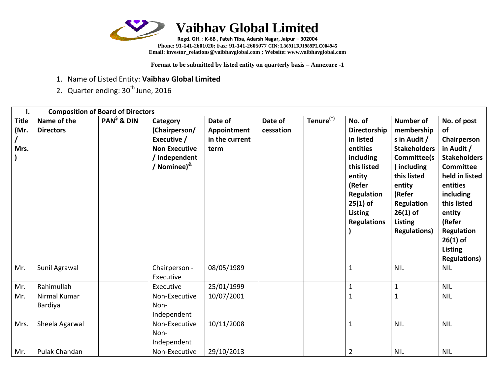

**Phone: 91-141-2601020; Fax: 91-141-2605077 CIN: L36911RJ1989PLC004945 Email[: investor\\_relations@vaibhavglobal.com](mailto:vgl@vaibhavglobal.com) ; Website: [www.vaibhavglobal.com](http://www.vaibhavglobal.com/)**

**Format to be submitted by listed entity on quarterly basis – Annexure -1**

- 1. Name of Listed Entity: **Vaibhav Global Limited**
- 2. Quarter ending: 30<sup>th</sup> June, 2016

| Ι.           | <b>Composition of Board of Directors</b> |              |                             |                |           |                       |                    |                     |                     |
|--------------|------------------------------------------|--------------|-----------------------------|----------------|-----------|-----------------------|--------------------|---------------------|---------------------|
| <b>Title</b> | Name of the                              | $PAN5$ & DIN | Category                    | Date of        | Date of   | Tenure <sup>(*)</sup> | No. of             | <b>Number of</b>    | No. of post         |
| (Mr.         | <b>Directors</b>                         |              | (Chairperson/               | Appointment    | cessation |                       | Directorship       | membership          | of                  |
|              |                                          |              | Executive /                 | in the current |           |                       | in listed          | s in Audit /        | Chairperson         |
| Mrs.         |                                          |              | <b>Non Executive</b>        | term           |           |                       | entities           | <b>Stakeholders</b> | in Audit /          |
|              |                                          |              | / Independent               |                |           |                       | including          | Committee(s         | <b>Stakeholders</b> |
|              |                                          |              | / Nominee) <sup>&amp;</sup> |                |           |                       | this listed        | ) including         | <b>Committee</b>    |
|              |                                          |              |                             |                |           |                       | entity             | this listed         | held in listed      |
|              |                                          |              |                             |                |           |                       | (Refer             | entity              | entities            |
|              |                                          |              |                             |                |           |                       | Regulation         | (Refer              | including           |
|              |                                          |              |                             |                |           |                       | $25(1)$ of         | Regulation          | this listed         |
|              |                                          |              |                             |                |           |                       | <b>Listing</b>     | $26(1)$ of          | entity              |
|              |                                          |              |                             |                |           |                       | <b>Regulations</b> | <b>Listing</b>      | (Refer              |
|              |                                          |              |                             |                |           |                       |                    | <b>Regulations)</b> | Regulation          |
|              |                                          |              |                             |                |           |                       |                    |                     | $26(1)$ of          |
|              |                                          |              |                             |                |           |                       |                    |                     | Listing             |
|              |                                          |              |                             |                |           |                       |                    |                     | <b>Regulations)</b> |
| Mr.          | Sunil Agrawal                            |              | Chairperson -               | 08/05/1989     |           |                       | $\mathbf{1}$       | <b>NIL</b>          | <b>NIL</b>          |
|              |                                          |              | Executive                   |                |           |                       |                    |                     |                     |
| Mr.          | Rahimullah                               |              | Executive                   | 25/01/1999     |           |                       | $\mathbf{1}$       | $\mathbf{1}$        | <b>NIL</b>          |
| Mr.          | Nirmal Kumar                             |              | Non-Executive               | 10/07/2001     |           |                       | $\mathbf{1}$       | $\mathbf{1}$        | <b>NIL</b>          |
|              | Bardiya                                  |              | Non-                        |                |           |                       |                    |                     |                     |
|              |                                          |              | Independent                 |                |           |                       |                    |                     |                     |
| Mrs.         | Sheela Agarwal                           |              | Non-Executive               | 10/11/2008     |           |                       | $\mathbf{1}$       | <b>NIL</b>          | <b>NIL</b>          |
|              |                                          |              | Non-                        |                |           |                       |                    |                     |                     |
|              |                                          |              | Independent                 |                |           |                       |                    |                     |                     |
| Mr.          | Pulak Chandan                            |              | Non-Executive               | 29/10/2013     |           |                       | $\overline{2}$     | <b>NIL</b>          | <b>NIL</b>          |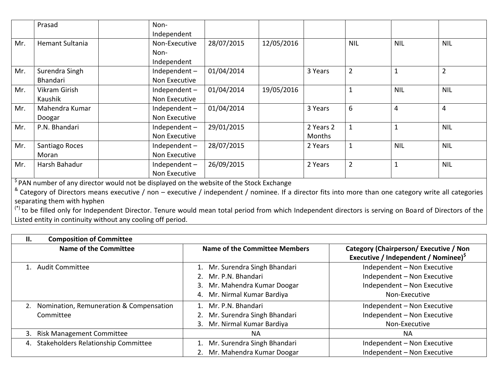|     | Prasad                 | Non-            |            |            |           |                |                |                |
|-----|------------------------|-----------------|------------|------------|-----------|----------------|----------------|----------------|
|     |                        | Independent     |            |            |           |                |                |                |
| Mr. | <b>Hemant Sultania</b> | Non-Executive   | 28/07/2015 | 12/05/2016 |           | <b>NIL</b>     | <b>NIL</b>     | <b>NIL</b>     |
|     |                        | Non-            |            |            |           |                |                |                |
|     |                        | Independent     |            |            |           |                |                |                |
| Mr. | Surendra Singh         | Independent $-$ | 01/04/2014 |            | 3 Years   | $\overline{2}$ | $\mathbf{1}$   | $\overline{2}$ |
|     | <b>Bhandari</b>        | Non Executive   |            |            |           |                |                |                |
| Mr. | Vikram Girish          | Independent-    | 01/04/2014 | 19/05/2016 |           |                | <b>NIL</b>     | <b>NIL</b>     |
|     | Kaushik                | Non Executive   |            |            |           |                |                |                |
| Mr. | Mahendra Kumar         | Independent-    | 01/04/2014 |            | 3 Years   | 6              | $\overline{4}$ | $\overline{4}$ |
|     | Doogar                 | Non Executive   |            |            |           |                |                |                |
| Mr. | P.N. Bhandari          | Independent $-$ | 29/01/2015 |            | 2 Years 2 |                | $\mathbf{1}$   | <b>NIL</b>     |
|     |                        | Non Executive   |            |            | Months    |                |                |                |
| Mr. | Santiago Roces         | Independent-    | 28/07/2015 |            | 2 Years   |                | <b>NIL</b>     | <b>NIL</b>     |
|     | Moran                  | Non Executive   |            |            |           |                |                |                |
| Mr. | Harsh Bahadur          | Independent-    | 26/09/2015 |            | 2 Years   | $\overline{2}$ | $\mathbf{1}$   | <b>NIL</b>     |
|     |                        | Non Executive   |            |            |           |                |                |                |

<sup>\$</sup> PAN number of any director would not be displayed on the website of the Stock Exchange

 $^8$  Category of Directors means executive / non – executive / independent / nominee. If a director fits into more than one category write all categories separating them with hyphen

(\*) to be filled only for Independent Director. Tenure would mean total period from which Independent directors is serving on Board of Directors of the Listed entity in continuity without any cooling off period.

| <b>Composition of Committee</b><br>П.                   |                                                                                                                             |                                                                                                            |
|---------------------------------------------------------|-----------------------------------------------------------------------------------------------------------------------------|------------------------------------------------------------------------------------------------------------|
| <b>Name of the Committee</b>                            | Name of the Committee Members                                                                                               | Category (Chairperson/Executive / Non<br>Executive / Independent / Nominee) <sup>5</sup>                   |
| 1. Audit Committee                                      | 1. Mr. Surendra Singh Bhandari<br>2. Mr. P.N. Bhandari<br>Mr. Mahendra Kumar Doogar<br>3.<br>Mr. Nirmal Kumar Bardiya<br>4. | Independent - Non Executive<br>Independent - Non Executive<br>Independent - Non Executive<br>Non-Executive |
| 2. Nomination, Remuneration & Compensation<br>Committee | 1. Mr. P.N. Bhandari<br>Mr. Surendra Singh Bhandari<br>Mr. Nirmal Kumar Bardiya<br>3.                                       | Independent - Non Executive<br>Independent - Non Executive<br>Non-Executive                                |
| <b>Risk Management Committee</b><br>3.                  | <b>NA</b>                                                                                                                   | NA.                                                                                                        |
| Stakeholders Relationship Committee<br>4.               | Mr. Surendra Singh Bhandari<br>1.<br>Mr. Mahendra Kumar Doogar<br>2.                                                        | Independent - Non Executive<br>Independent - Non Executive                                                 |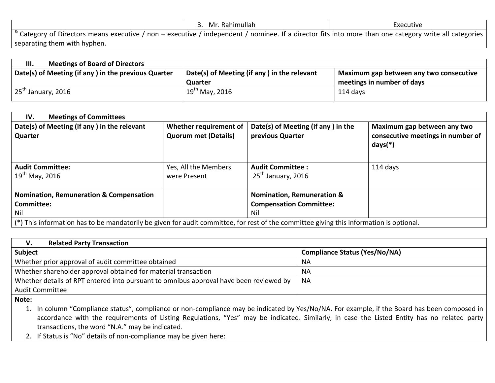|                                                                                                                                                                                | 3. Mr. Rahimullah | Executive |
|--------------------------------------------------------------------------------------------------------------------------------------------------------------------------------|-------------------|-----------|
| $\vert$ $\degree$ Category of Directors means executive / non – executive / independent / nominee. If a director fits into more than one category write all categories $\vert$ |                   |           |
| separating them with hyphen.                                                                                                                                                   |                   |           |

| <b>Meetings of Board of Directors</b><br>Ш.                                                                                                   |                     |                            |
|-----------------------------------------------------------------------------------------------------------------------------------------------|---------------------|----------------------------|
| Date(s) of Meeting (if any) in the previous Quarter<br>Date(s) of Meeting (if any) in the relevant<br>Maximum gap between any two consecutive |                     |                            |
|                                                                                                                                               | Quarter             | meetings in number of days |
| 25 <sup>th</sup> January, 2016                                                                                                                | $19^{th}$ May, 2016 | 114 days                   |

| <b>Meetings of Committees</b><br>IV.                                                                                                    |                                                       |                                                        |                                                                               |  |  |
|-----------------------------------------------------------------------------------------------------------------------------------------|-------------------------------------------------------|--------------------------------------------------------|-------------------------------------------------------------------------------|--|--|
| Date(s) of Meeting (if any) in the relevant<br>Quarter                                                                                  | Whether requirement of<br><b>Quorum met (Details)</b> | Date(s) of Meeting (if any) in the<br>previous Quarter | Maximum gap between any two<br>consecutive meetings in number of<br>$days(*)$ |  |  |
| <b>Audit Committee:</b><br>$19^{th}$ May, 2016                                                                                          | Yes, All the Members<br>were Present                  | <b>Audit Committee:</b><br>$25th$ January, 2016        | 114 days                                                                      |  |  |
| <b>Nomination, Remuneration &amp;</b><br><b>Nomination, Remuneration &amp; Compensation</b>                                             |                                                       |                                                        |                                                                               |  |  |
| Committee:                                                                                                                              |                                                       | <b>Compensation Committee:</b>                         |                                                                               |  |  |
| Nil                                                                                                                                     |                                                       | Nil                                                    |                                                                               |  |  |
| (*) This information has to be mandatorily be given for audit committee, for rest of the committee giving this information is optional. |                                                       |                                                        |                                                                               |  |  |

| <b>Related Party Transaction</b><br>V.                                                 |                                      |  |  |  |
|----------------------------------------------------------------------------------------|--------------------------------------|--|--|--|
| Subject                                                                                | <b>Compliance Status (Yes/No/NA)</b> |  |  |  |
| Whether prior approval of audit committee obtained                                     | <b>NA</b>                            |  |  |  |
| Whether shareholder approval obtained for material transaction                         | <b>NA</b>                            |  |  |  |
| Whether details of RPT entered into pursuant to omnibus approval have been reviewed by | <b>NA</b>                            |  |  |  |
| Audit Committee                                                                        |                                      |  |  |  |
|                                                                                        |                                      |  |  |  |

**Note:**

- 1. In column "Compliance status", compliance or non-compliance may be indicated by Yes/No/NA. For example, if the Board has been composed in accordance with the requirements of Listing Regulations, "Yes" may be indicated. Similarly, in case the Listed Entity has no related party transactions, the word "N.A." may be indicated.
- 2. If Status is "No" details of non-compliance may be given here: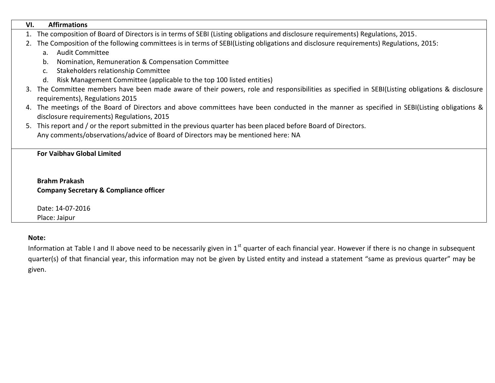| VI. | <b>Affirmations</b>                                                                                                                            |
|-----|------------------------------------------------------------------------------------------------------------------------------------------------|
|     | 1. The composition of Board of Directors is in terms of SEBI (Listing obligations and disclosure requirements) Regulations, 2015.              |
|     | 2. The Composition of the following committees is in terms of SEBI(Listing obligations and disclosure requirements) Regulations, 2015:         |
|     | <b>Audit Committee</b><br>a.                                                                                                                   |
|     | Nomination, Remuneration & Compensation Committee<br>b.                                                                                        |
|     | Stakeholders relationship Committee                                                                                                            |
|     | Risk Management Committee (applicable to the top 100 listed entities)<br>d.                                                                    |
|     | 3. The Committee members have been made aware of their powers, role and responsibilities as specified in SEBI(Listing obligations & disclosure |
|     | requirements), Regulations 2015                                                                                                                |
|     | 4. The meetings of the Board of Directors and above committees have been conducted in the manner as specified in SEBI(Listing obligations &    |
|     | disclosure requirements) Regulations, 2015                                                                                                     |
|     | 5. This report and / or the report submitted in the previous quarter has been placed before Board of Directors.                                |
|     | Any comments/observations/advice of Board of Directors may be mentioned here: NA                                                               |
|     |                                                                                                                                                |
|     | <b>For Vaibhav Global Limited</b>                                                                                                              |
|     |                                                                                                                                                |
|     |                                                                                                                                                |
|     | <b>Brahm Prakash</b>                                                                                                                           |

**Company Secretary & Compliance officer**

Date: 14-07-2016 Place: Jaipur

## **Note:**

Information at Table I and II above need to be necessarily given in 1<sup>st</sup> quarter of each financial year. However if there is no change in subsequent quarter(s) of that financial year, this information may not be given by Listed entity and instead a statement "same as previous quarter" may be given.